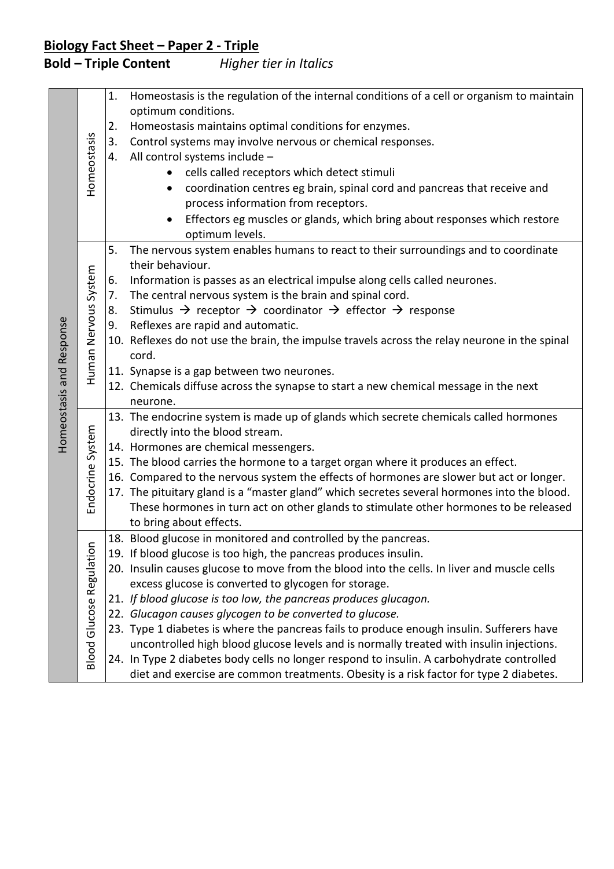| Homeostasis and Response | Homeostasis                                   | 1.<br>2.<br>3.<br>4.       | Homeostasis is the regulation of the internal conditions of a cell or organism to maintain<br>optimum conditions.<br>Homeostasis maintains optimal conditions for enzymes.<br>Control systems may involve nervous or chemical responses.<br>All control systems include -<br>cells called receptors which detect stimuli<br>coordination centres eg brain, spinal cord and pancreas that receive and<br>$\bullet$<br>process information from receptors.<br>Effectors eg muscles or glands, which bring about responses which restore<br>$\bullet$<br>optimum levels.                                                                                                                                                                                                                                    |
|--------------------------|-----------------------------------------------|----------------------------|----------------------------------------------------------------------------------------------------------------------------------------------------------------------------------------------------------------------------------------------------------------------------------------------------------------------------------------------------------------------------------------------------------------------------------------------------------------------------------------------------------------------------------------------------------------------------------------------------------------------------------------------------------------------------------------------------------------------------------------------------------------------------------------------------------|
|                          | Human Nervous System                          | 5.<br>6.<br>7.<br>8.<br>9. | The nervous system enables humans to react to their surroundings and to coordinate<br>their behaviour.<br>Information is passes as an electrical impulse along cells called neurones.<br>The central nervous system is the brain and spinal cord.<br>Stimulus $\rightarrow$ receptor $\rightarrow$ coordinator $\rightarrow$ effector $\rightarrow$ response<br>Reflexes are rapid and automatic.<br>10. Reflexes do not use the brain, the impulse travels across the relay neurone in the spinal<br>cord.<br>11. Synapse is a gap between two neurones.<br>12. Chemicals diffuse across the synapse to start a new chemical message in the next<br>neurone.                                                                                                                                            |
|                          | Endocrine System                              |                            | 13. The endocrine system is made up of glands which secrete chemicals called hormones<br>directly into the blood stream.<br>14. Hormones are chemical messengers.<br>15. The blood carries the hormone to a target organ where it produces an effect.<br>16. Compared to the nervous system the effects of hormones are slower but act or longer.<br>17. The pituitary gland is a "master gland" which secretes several hormones into the blood.<br>These hormones in turn act on other glands to stimulate other hormones to be released<br>to bring about effects.                                                                                                                                                                                                                                     |
|                          | $\subseteq$<br><b>Blood Glucose Regulatio</b> |                            | 18. Blood glucose in monitored and controlled by the pancreas.<br>19. If blood glucose is too high, the pancreas produces insulin.<br>20. Insulin causes glucose to move from the blood into the cells. In liver and muscle cells<br>excess glucose is converted to glycogen for storage.<br>21. If blood glucose is too low, the pancreas produces glucagon.<br>22. Glucagon causes glycogen to be converted to glucose.<br>23. Type 1 diabetes is where the pancreas fails to produce enough insulin. Sufferers have<br>uncontrolled high blood glucose levels and is normally treated with insulin injections.<br>24. In Type 2 diabetes body cells no longer respond to insulin. A carbohydrate controlled<br>diet and exercise are common treatments. Obesity is a risk factor for type 2 diabetes. |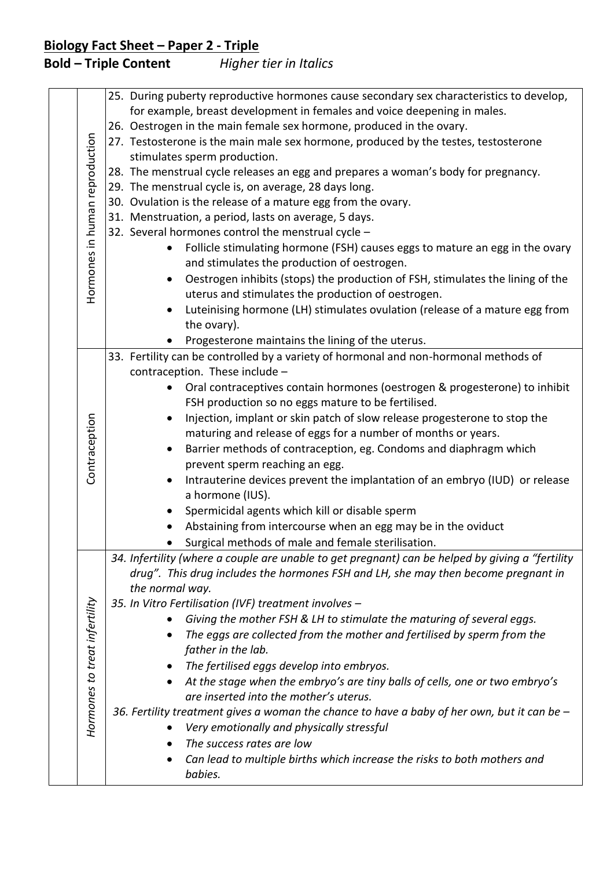| Hormones in human reproduction | 25. During puberty reproductive hormones cause secondary sex characteristics to develop,<br>for example, breast development in females and voice deepening in males.<br>26. Oestrogen in the main female sex hormone, produced in the ovary.<br>27. Testosterone is the main male sex hormone, produced by the testes, testosterone<br>stimulates sperm production.<br>28. The menstrual cycle releases an egg and prepares a woman's body for pregnancy. |
|--------------------------------|-----------------------------------------------------------------------------------------------------------------------------------------------------------------------------------------------------------------------------------------------------------------------------------------------------------------------------------------------------------------------------------------------------------------------------------------------------------|
|                                | 29. The menstrual cycle is, on average, 28 days long.<br>30. Ovulation is the release of a mature egg from the ovary.                                                                                                                                                                                                                                                                                                                                     |
|                                | 31. Menstruation, a period, lasts on average, 5 days.                                                                                                                                                                                                                                                                                                                                                                                                     |
|                                | 32. Several hormones control the menstrual cycle -                                                                                                                                                                                                                                                                                                                                                                                                        |
|                                | Follicle stimulating hormone (FSH) causes eggs to mature an egg in the ovary<br>$\bullet$<br>and stimulates the production of oestrogen.                                                                                                                                                                                                                                                                                                                  |
|                                | Oestrogen inhibits (stops) the production of FSH, stimulates the lining of the<br>$\bullet$<br>uterus and stimulates the production of oestrogen.                                                                                                                                                                                                                                                                                                         |
|                                | Luteinising hormone (LH) stimulates ovulation (release of a mature egg from<br>$\bullet$<br>the ovary).                                                                                                                                                                                                                                                                                                                                                   |
|                                | Progesterone maintains the lining of the uterus.<br>$\bullet$                                                                                                                                                                                                                                                                                                                                                                                             |
|                                | 33. Fertility can be controlled by a variety of hormonal and non-hormonal methods of<br>contraception. These include -                                                                                                                                                                                                                                                                                                                                    |
|                                | Oral contraceptives contain hormones (oestrogen & progesterone) to inhibit                                                                                                                                                                                                                                                                                                                                                                                |
|                                | FSH production so no eggs mature to be fertilised.                                                                                                                                                                                                                                                                                                                                                                                                        |
|                                | Injection, implant or skin patch of slow release progesterone to stop the                                                                                                                                                                                                                                                                                                                                                                                 |
| Contraception                  | maturing and release of eggs for a number of months or years.                                                                                                                                                                                                                                                                                                                                                                                             |
|                                | Barrier methods of contraception, eg. Condoms and diaphragm which<br>$\bullet$                                                                                                                                                                                                                                                                                                                                                                            |
|                                | prevent sperm reaching an egg.                                                                                                                                                                                                                                                                                                                                                                                                                            |
|                                | Intrauterine devices prevent the implantation of an embryo (IUD) or release                                                                                                                                                                                                                                                                                                                                                                               |
|                                | a hormone (IUS).                                                                                                                                                                                                                                                                                                                                                                                                                                          |
|                                | Spermicidal agents which kill or disable sperm<br>$\bullet$                                                                                                                                                                                                                                                                                                                                                                                               |
|                                | Abstaining from intercourse when an egg may be in the oviduct                                                                                                                                                                                                                                                                                                                                                                                             |
|                                | Surgical methods of male and female sterilisation.                                                                                                                                                                                                                                                                                                                                                                                                        |
|                                | 34. Infertility (where a couple are unable to get pregnant) can be helped by giving a "fertility<br>drug". This drug includes the hormones FSH and LH, she may then become pregnant in<br>the normal way.                                                                                                                                                                                                                                                 |
|                                | 35. In Vitro Fertilisation (IVF) treatment involves -                                                                                                                                                                                                                                                                                                                                                                                                     |
|                                | Giving the mother FSH & LH to stimulate the maturing of several eggs.                                                                                                                                                                                                                                                                                                                                                                                     |
|                                | The eggs are collected from the mother and fertilised by sperm from the                                                                                                                                                                                                                                                                                                                                                                                   |
|                                | father in the lab.                                                                                                                                                                                                                                                                                                                                                                                                                                        |
|                                | The fertilised eggs develop into embryos.                                                                                                                                                                                                                                                                                                                                                                                                                 |
|                                | At the stage when the embryo's are tiny balls of cells, one or two embryo's<br>$\bullet$                                                                                                                                                                                                                                                                                                                                                                  |
|                                | are inserted into the mother's uterus.                                                                                                                                                                                                                                                                                                                                                                                                                    |
|                                | 36. Fertility treatment gives a woman the chance to have a baby of her own, but it can be $-$                                                                                                                                                                                                                                                                                                                                                             |
| Hormones to treat infertility  | Very emotionally and physically stressful                                                                                                                                                                                                                                                                                                                                                                                                                 |
|                                | The success rates are low<br>$\bullet$                                                                                                                                                                                                                                                                                                                                                                                                                    |
|                                |                                                                                                                                                                                                                                                                                                                                                                                                                                                           |
|                                | Can lead to multiple births which increase the risks to both mothers and<br>babies.                                                                                                                                                                                                                                                                                                                                                                       |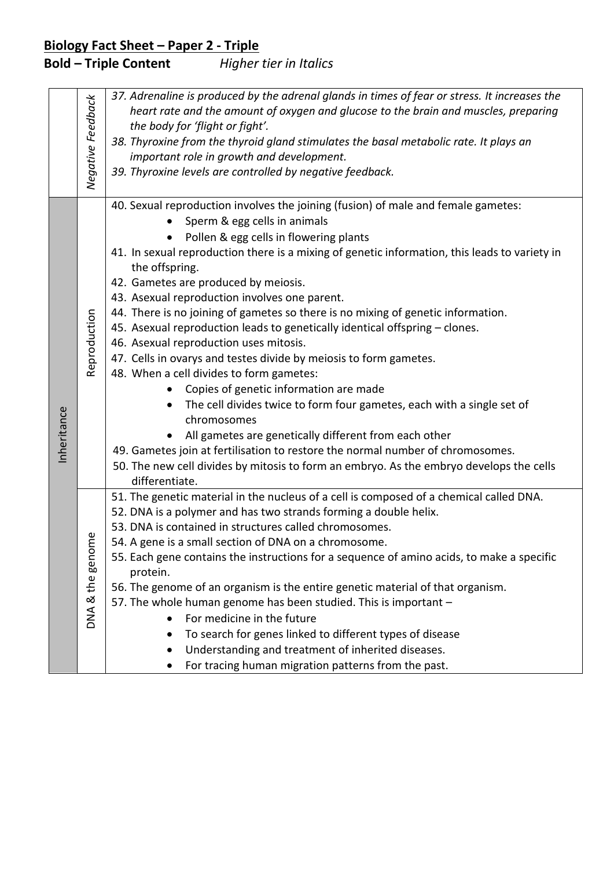|             | Negative Feedback             | 37. Adrenaline is produced by the adrenal glands in times of fear or stress. It increases the<br>heart rate and the amount of oxygen and glucose to the brain and muscles, preparing<br>the body for 'flight or fight'.<br>38. Thyroxine from the thyroid gland stimulates the basal metabolic rate. It plays an<br>important role in growth and development.<br>39. Thyroxine levels are controlled by negative feedback.                                                                                                                                                                                                                                                                                                                                                                                                                                                                                                                                                                                                                                                                       |
|-------------|-------------------------------|--------------------------------------------------------------------------------------------------------------------------------------------------------------------------------------------------------------------------------------------------------------------------------------------------------------------------------------------------------------------------------------------------------------------------------------------------------------------------------------------------------------------------------------------------------------------------------------------------------------------------------------------------------------------------------------------------------------------------------------------------------------------------------------------------------------------------------------------------------------------------------------------------------------------------------------------------------------------------------------------------------------------------------------------------------------------------------------------------|
| Inheritance | Reproduction                  | 40. Sexual reproduction involves the joining (fusion) of male and female gametes:<br>Sperm & egg cells in animals<br>Pollen & egg cells in flowering plants<br>41. In sexual reproduction there is a mixing of genetic information, this leads to variety in<br>the offspring.<br>42. Gametes are produced by meiosis.<br>43. Asexual reproduction involves one parent.<br>44. There is no joining of gametes so there is no mixing of genetic information.<br>45. Asexual reproduction leads to genetically identical offspring - clones.<br>46. Asexual reproduction uses mitosis.<br>47. Cells in ovarys and testes divide by meiosis to form gametes.<br>48. When a cell divides to form gametes:<br>Copies of genetic information are made<br>The cell divides twice to form four gametes, each with a single set of<br>chromosomes<br>All gametes are genetically different from each other<br>49. Gametes join at fertilisation to restore the normal number of chromosomes.<br>50. The new cell divides by mitosis to form an embryo. As the embryo develops the cells<br>differentiate. |
|             | genome<br>& the<br><b>ANQ</b> | 51. The genetic material in the nucleus of a cell is composed of a chemical called DNA.<br>52. DNA is a polymer and has two strands forming a double helix.<br>53. DNA is contained in structures called chromosomes.<br>54. A gene is a small section of DNA on a chromosome<br>55. Each gene contains the instructions for a sequence of amino acids, to make a specific<br>protein.<br>56. The genome of an organism is the entire genetic material of that organism.<br>57. The whole human genome has been studied. This is important -<br>For medicine in the future<br>$\bullet$<br>To search for genes linked to different types of disease<br>Understanding and treatment of inherited diseases.<br>٠<br>For tracing human migration patterns from the past.                                                                                                                                                                                                                                                                                                                            |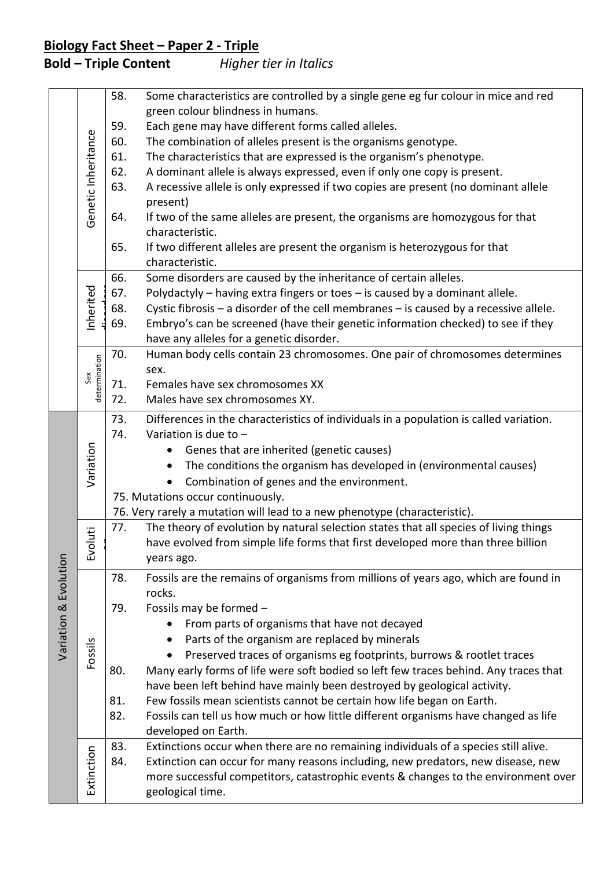|                       |                     | 58.                                                                                                            | Some characteristics are controlled by a single gene eg fur colour in mice and red<br>green colour blindness in humans. |  |
|-----------------------|---------------------|----------------------------------------------------------------------------------------------------------------|-------------------------------------------------------------------------------------------------------------------------|--|
|                       |                     | 59.                                                                                                            | Each gene may have different forms called alleles.                                                                      |  |
|                       |                     | 60.                                                                                                            | The combination of alleles present is the organisms genotype.                                                           |  |
|                       |                     | 61.                                                                                                            | The characteristics that are expressed is the organism's phenotype.                                                     |  |
|                       |                     | 62.                                                                                                            | A dominant allele is always expressed, even if only one copy is present.                                                |  |
|                       |                     | 63.                                                                                                            | A recessive allele is only expressed if two copies are present (no dominant allele                                      |  |
|                       | Genetic Inheritance |                                                                                                                | present)                                                                                                                |  |
|                       |                     | 64.                                                                                                            | If two of the same alleles are present, the organisms are homozygous for that<br>characteristic.                        |  |
|                       |                     | 65.                                                                                                            | If two different alleles are present the organism is heterozygous for that                                              |  |
|                       |                     |                                                                                                                | characteristic.                                                                                                         |  |
|                       |                     | 66.                                                                                                            | Some disorders are caused by the inheritance of certain alleles.                                                        |  |
|                       | Inherited           | 67.                                                                                                            | Polydactyly - having extra fingers or toes - is caused by a dominant allele.                                            |  |
|                       |                     | 68.                                                                                                            | Cystic fibrosis $-$ a disorder of the cell membranes $-$ is caused by a recessive allele.                               |  |
|                       |                     | 69.                                                                                                            | Embryo's can be screened (have their genetic information checked) to see if they                                        |  |
|                       |                     |                                                                                                                | have any alleles for a genetic disorder.                                                                                |  |
|                       | determination       | 70.                                                                                                            | Human body cells contain 23 chromosomes. One pair of chromosomes determines                                             |  |
|                       | Sex                 | 71.                                                                                                            | sex.<br>Females have sex chromosomes XX                                                                                 |  |
|                       |                     | 72.                                                                                                            | Males have sex chromosomes XY.                                                                                          |  |
|                       |                     |                                                                                                                |                                                                                                                         |  |
|                       |                     | 73.                                                                                                            | Differences in the characteristics of individuals in a population is called variation.                                  |  |
|                       |                     | 74.                                                                                                            | Variation is due to $-$                                                                                                 |  |
|                       | Variation           |                                                                                                                | Genes that are inherited (genetic causes)                                                                               |  |
|                       |                     |                                                                                                                | The conditions the organism has developed in (environmental causes)<br>$\bullet$                                        |  |
|                       |                     |                                                                                                                | Combination of genes and the environment.                                                                               |  |
|                       |                     | 75. Mutations occur continuously.<br>76. Very rarely a mutation will lead to a new phenotype (characteristic). |                                                                                                                         |  |
|                       |                     | 77.                                                                                                            | The theory of evolution by natural selection states that all species of living things                                   |  |
|                       | Evoluti             |                                                                                                                | have evolved from simple life forms that first developed more than three billion                                        |  |
|                       |                     |                                                                                                                | years ago.                                                                                                              |  |
|                       |                     |                                                                                                                |                                                                                                                         |  |
| Variation & Evolution |                     | 78.                                                                                                            | Fossils are the remains of organisms from millions of years ago, which are found in<br>rocks.                           |  |
|                       |                     | 79.                                                                                                            | Fossils may be formed -                                                                                                 |  |
|                       |                     |                                                                                                                | From parts of organisms that have not decayed                                                                           |  |
|                       |                     |                                                                                                                | Parts of the organism are replaced by minerals                                                                          |  |
|                       | Fossils             |                                                                                                                | Preserved traces of organisms eg footprints, burrows & rootlet traces                                                   |  |
|                       |                     | 80.                                                                                                            | Many early forms of life were soft bodied so left few traces behind. Any traces that                                    |  |
|                       |                     |                                                                                                                | have been left behind have mainly been destroyed by geological activity.                                                |  |
|                       |                     | 81.                                                                                                            | Few fossils mean scientists cannot be certain how life began on Earth.                                                  |  |
|                       |                     | 82.                                                                                                            | Fossils can tell us how much or how little different organisms have changed as life                                     |  |
|                       |                     |                                                                                                                | developed on Earth.                                                                                                     |  |
|                       |                     | 83.                                                                                                            | Extinctions occur when there are no remaining individuals of a species still alive.                                     |  |
|                       | Extinction          | 84.                                                                                                            | Extinction can occur for many reasons including, new predators, new disease, new                                        |  |
|                       |                     |                                                                                                                | more successful competitors, catastrophic events & changes to the environment over                                      |  |
|                       |                     |                                                                                                                | geological time.                                                                                                        |  |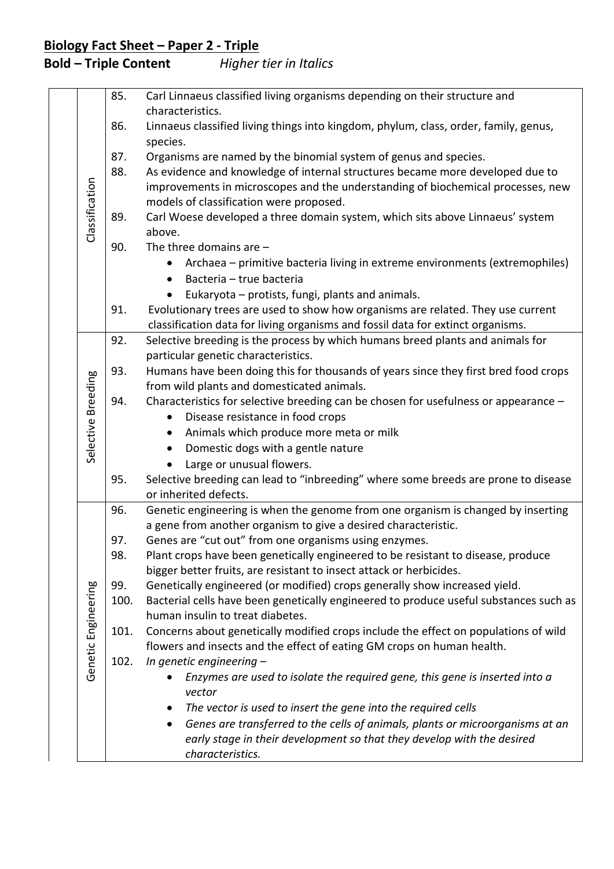|  |                     | 85.  | Carl Linnaeus classified living organisms depending on their structure and                                |
|--|---------------------|------|-----------------------------------------------------------------------------------------------------------|
|  |                     |      | characteristics.                                                                                          |
|  |                     | 86.  | Linnaeus classified living things into kingdom, phylum, class, order, family, genus,<br>species.          |
|  |                     | 87.  | Organisms are named by the binomial system of genus and species.                                          |
|  |                     | 88.  | As evidence and knowledge of internal structures became more developed due to                             |
|  |                     |      | improvements in microscopes and the understanding of biochemical processes, new                           |
|  |                     |      | models of classification were proposed.                                                                   |
|  | Classification      | 89.  | Carl Woese developed a three domain system, which sits above Linnaeus' system                             |
|  |                     |      | above.                                                                                                    |
|  |                     | 90.  | The three domains are $-$                                                                                 |
|  |                     |      | Archaea – primitive bacteria living in extreme environments (extremophiles)                               |
|  |                     |      | Bacteria - true bacteria                                                                                  |
|  |                     |      | Eukaryota - protists, fungi, plants and animals.                                                          |
|  |                     | 91.  | Evolutionary trees are used to show how organisms are related. They use current                           |
|  |                     |      | classification data for living organisms and fossil data for extinct organisms.                           |
|  |                     | 92.  | Selective breeding is the process by which humans breed plants and animals for                            |
|  |                     |      | particular genetic characteristics.                                                                       |
|  |                     | 93.  | Humans have been doing this for thousands of years since they first bred food crops                       |
|  |                     |      | from wild plants and domesticated animals.                                                                |
|  | Selective Breeding  | 94.  | Characteristics for selective breeding can be chosen for usefulness or appearance -                       |
|  |                     |      | Disease resistance in food crops                                                                          |
|  |                     |      | Animals which produce more meta or milk                                                                   |
|  |                     |      | Domestic dogs with a gentle nature                                                                        |
|  |                     |      | Large or unusual flowers.                                                                                 |
|  |                     | 95.  | Selective breeding can lead to "inbreeding" where some breeds are prone to disease                        |
|  |                     | 96.  | or inherited defects.<br>Genetic engineering is when the genome from one organism is changed by inserting |
|  |                     |      | a gene from another organism to give a desired characteristic.                                            |
|  |                     | 97.  | Genes are "cut out" from one organisms using enzymes.                                                     |
|  |                     | 98.  | Plant crops have been genetically engineered to be resistant to disease, produce                          |
|  |                     |      | bigger better fruits, are resistant to insect attack or herbicides.                                       |
|  |                     | 99.  | Genetically engineered (or modified) crops generally show increased yield.                                |
|  | Genetic Engineering | 100. | Bacterial cells have been genetically engineered to produce useful substances such as                     |
|  |                     |      | human insulin to treat diabetes.                                                                          |
|  |                     | 101. | Concerns about genetically modified crops include the effect on populations of wild                       |
|  |                     |      | flowers and insects and the effect of eating GM crops on human health.                                    |
|  |                     | 102. | In genetic engineering $-$                                                                                |
|  |                     |      | Enzymes are used to isolate the required gene, this gene is inserted into a                               |
|  |                     |      | vector                                                                                                    |
|  |                     |      | The vector is used to insert the gene into the required cells                                             |
|  |                     |      | Genes are transferred to the cells of animals, plants or microorganisms at an<br>$\bullet$                |
|  |                     |      | early stage in their development so that they develop with the desired                                    |
|  |                     |      | characteristics.                                                                                          |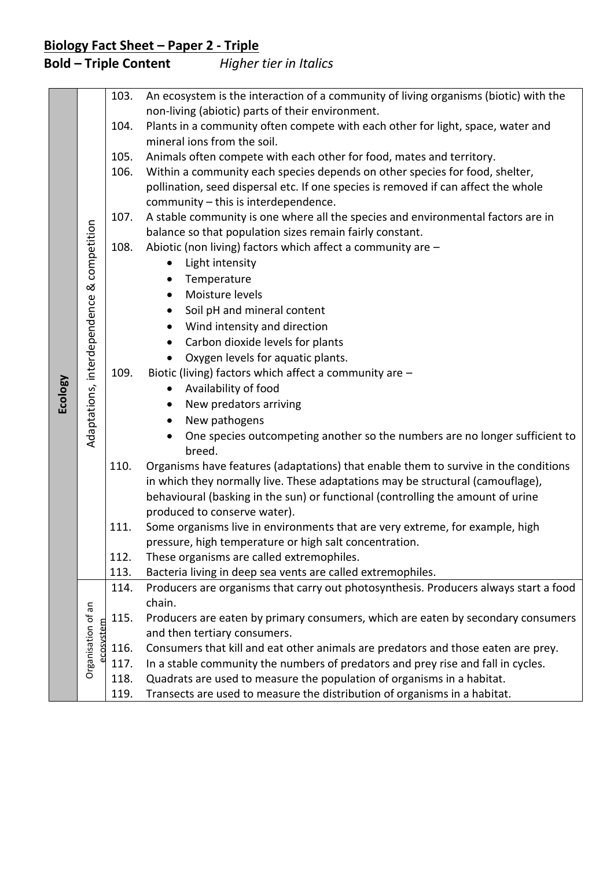|         |                                | 103. | An ecosystem is the interaction of a community of living organisms (biotic) with the |
|---------|--------------------------------|------|--------------------------------------------------------------------------------------|
|         |                                |      | non-living (abiotic) parts of their environment.                                     |
|         |                                | 104. | Plants in a community often compete with each other for light, space, water and      |
|         |                                |      | mineral ions from the soil.                                                          |
|         |                                | 105. | Animals often compete with each other for food, mates and territory.                 |
|         |                                | 106. | Within a community each species depends on other species for food, shelter,          |
|         |                                |      | pollination, seed dispersal etc. If one species is removed if can affect the whole   |
|         |                                |      | community - this is interdependence.                                                 |
|         |                                | 107. | A stable community is one where all the species and environmental factors are in     |
|         | competition                    |      | balance so that population sizes remain fairly constant.                             |
|         |                                | 108. | Abiotic (non living) factors which affect a community are -                          |
|         |                                |      | Light intensity<br>$\bullet$                                                         |
|         |                                |      | Temperature<br>$\bullet$                                                             |
|         | ಡ                              |      | Moisture levels<br>$\bullet$                                                         |
|         |                                |      | Soil pH and mineral content<br>$\bullet$                                             |
|         |                                |      | Wind intensity and direction                                                         |
|         |                                |      | $\bullet$                                                                            |
|         |                                |      | Carbon dioxide levels for plants<br>$\bullet$                                        |
|         |                                |      | Oxygen levels for aquatic plants.                                                    |
|         |                                | 109. | Biotic (living) factors which affect a community are -                               |
| Ecology |                                |      | Availability of food<br>$\bullet$                                                    |
|         | Adaptations, interdependence   |      | New predators arriving<br>$\bullet$                                                  |
|         |                                |      | New pathogens<br>$\bullet$                                                           |
|         |                                |      | One species outcompeting another so the numbers are no longer sufficient to          |
|         |                                |      | breed.                                                                               |
|         |                                | 110. | Organisms have features (adaptations) that enable them to survive in the conditions  |
|         |                                |      | in which they normally live. These adaptations may be structural (camouflage),       |
|         |                                |      | behavioural (basking in the sun) or functional (controlling the amount of urine      |
|         |                                |      | produced to conserve water).                                                         |
|         |                                | 111. | Some organisms live in environments that are very extreme, for example, high         |
|         |                                |      | pressure, high temperature or high salt concentration.                               |
|         |                                | 112. | These organisms are called extremophiles.                                            |
|         |                                | 113. | Bacteria living in deep sea vents are called extremophiles.                          |
|         | Organisation of an<br>cosystem | 114. | Producers are organisms that carry out photosynthesis. Producers always start a food |
|         |                                |      | chain.                                                                               |
|         |                                | 115. | Producers are eaten by primary consumers, which are eaten by secondary consumers     |
|         |                                |      | and then tertiary consumers.                                                         |
|         |                                | 116. | Consumers that kill and eat other animals are predators and those eaten are prey.    |
|         |                                | 117. | In a stable community the numbers of predators and prey rise and fall in cycles.     |
|         |                                | 118. | Quadrats are used to measure the population of organisms in a habitat.               |
|         |                                | 119. | Transects are used to measure the distribution of organisms in a habitat.            |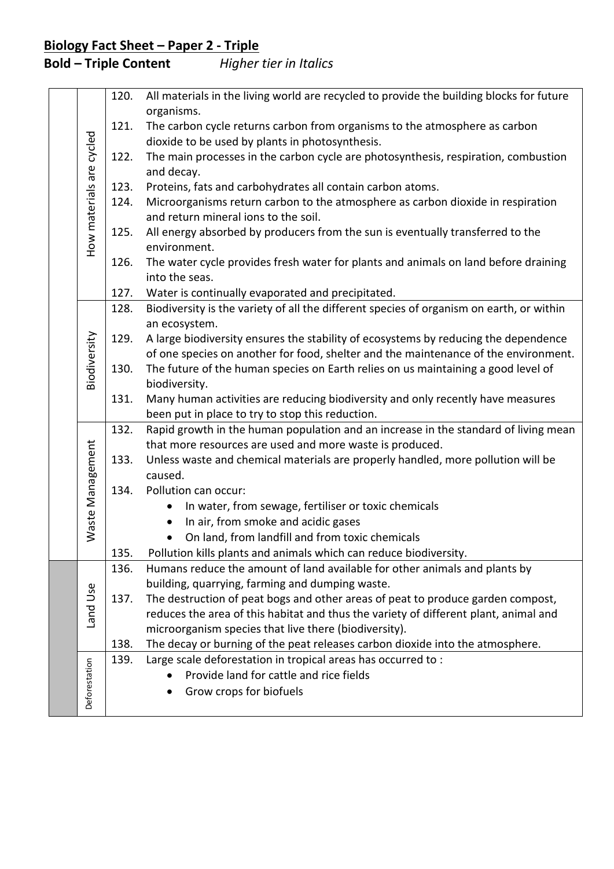|  |                          | 120. | All materials in the living world are recycled to provide the building blocks for future<br>organisms.                                                                  |
|--|--------------------------|------|-------------------------------------------------------------------------------------------------------------------------------------------------------------------------|
|  |                          | 121. | The carbon cycle returns carbon from organisms to the atmosphere as carbon                                                                                              |
|  |                          |      | dioxide to be used by plants in photosynthesis.                                                                                                                         |
|  |                          | 122. | The main processes in the carbon cycle are photosynthesis, respiration, combustion                                                                                      |
|  |                          |      | and decay.                                                                                                                                                              |
|  | How materials are cycled | 123. | Proteins, fats and carbohydrates all contain carbon atoms.                                                                                                              |
|  |                          | 124. | Microorganisms return carbon to the atmosphere as carbon dioxide in respiration                                                                                         |
|  |                          |      | and return mineral ions to the soil.                                                                                                                                    |
|  |                          | 125. | All energy absorbed by producers from the sun is eventually transferred to the                                                                                          |
|  |                          |      | environment.                                                                                                                                                            |
|  |                          | 126. | The water cycle provides fresh water for plants and animals on land before draining                                                                                     |
|  |                          |      | into the seas.                                                                                                                                                          |
|  |                          | 127. | Water is continually evaporated and precipitated.<br>Biodiversity is the variety of all the different species of organism on earth, or within                           |
|  |                          | 128. | an ecosystem.                                                                                                                                                           |
|  |                          | 129. | A large biodiversity ensures the stability of ecosystems by reducing the dependence                                                                                     |
|  |                          |      | of one species on another for food, shelter and the maintenance of the environment.                                                                                     |
|  | Biodiversity             | 130. | The future of the human species on Earth relies on us maintaining a good level of                                                                                       |
|  |                          |      | biodiversity.                                                                                                                                                           |
|  |                          | 131. | Many human activities are reducing biodiversity and only recently have measures                                                                                         |
|  |                          |      | been put in place to try to stop this reduction.                                                                                                                        |
|  |                          | 132. | Rapid growth in the human population and an increase in the standard of living mean                                                                                     |
|  |                          |      | that more resources are used and more waste is produced.                                                                                                                |
|  |                          | 133. | Unless waste and chemical materials are properly handled, more pollution will be                                                                                        |
|  |                          |      | caused.                                                                                                                                                                 |
|  |                          | 134. | Pollution can occur:                                                                                                                                                    |
|  | Waste Management         |      | In water, from sewage, fertiliser or toxic chemicals<br>$\bullet$                                                                                                       |
|  |                          |      | In air, from smoke and acidic gases                                                                                                                                     |
|  |                          |      | On land, from landfill and from toxic chemicals                                                                                                                         |
|  |                          | 135. | Pollution kills plants and animals which can reduce biodiversity.                                                                                                       |
|  |                          | 136. | Humans reduce the amount of land available for other animals and plants by                                                                                              |
|  |                          |      | building, quarrying, farming and dumping waste.                                                                                                                         |
|  |                          | 137. | The destruction of peat bogs and other areas of peat to produce garden compost,<br>reduces the area of this habitat and thus the variety of different plant, animal and |
|  | Land Use                 |      | microorganism species that live there (biodiversity).                                                                                                                   |
|  |                          | 138. | The decay or burning of the peat releases carbon dioxide into the atmosphere.                                                                                           |
|  |                          | 139. | Large scale deforestation in tropical areas has occurred to :                                                                                                           |
|  | Deforestation            |      | Provide land for cattle and rice fields                                                                                                                                 |
|  |                          |      | Grow crops for biofuels                                                                                                                                                 |
|  |                          |      |                                                                                                                                                                         |